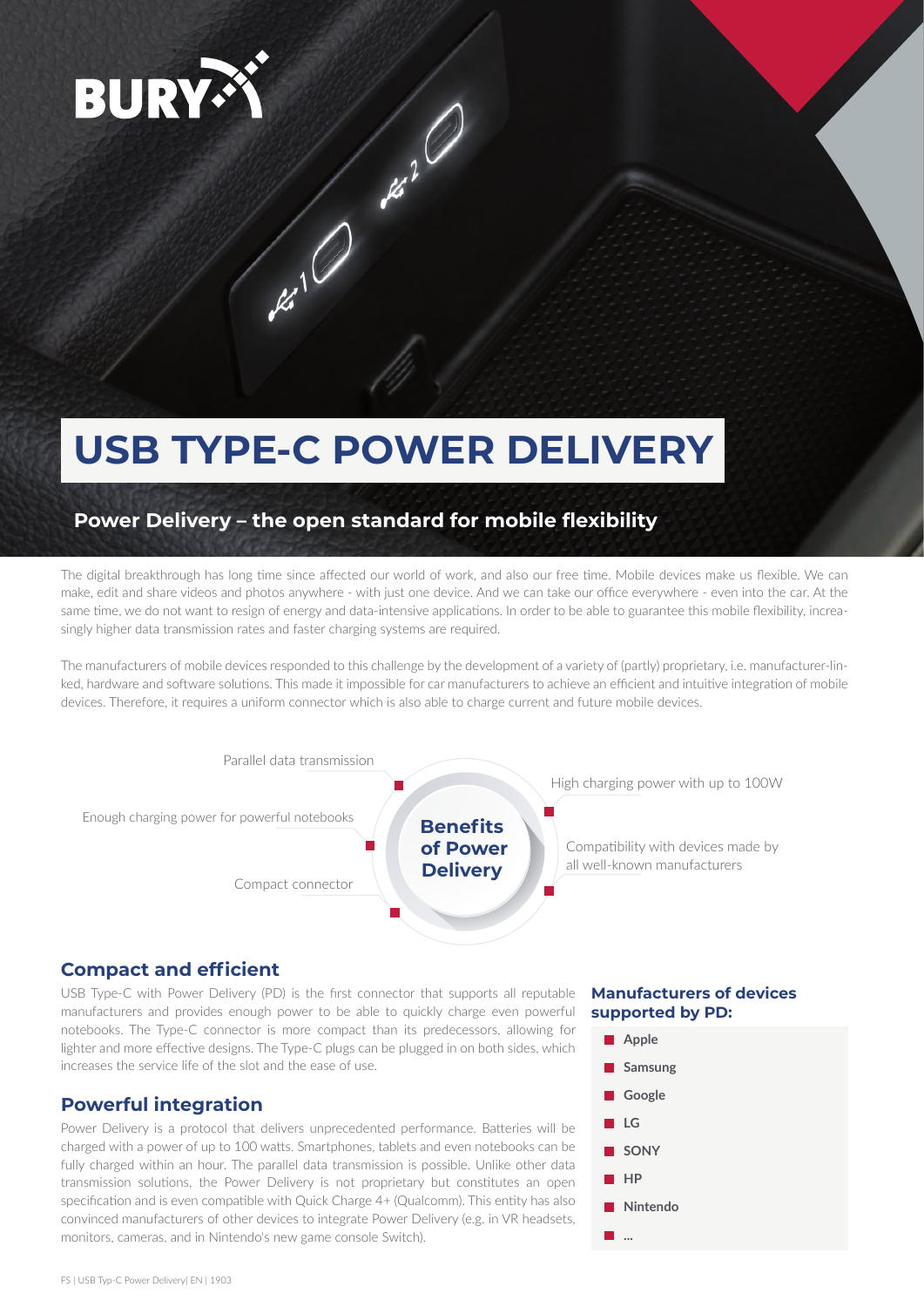

# **USB TYPE-C POWER DELIVERY**

**Part Of** 

## **Power Delivery – the open standard for mobile flexibility**

 $\mathscr{L}(\mathscr{O})$ 

The digital breakthrough has long time since affected our world of work, and also our free time. Mobile devices make us flexible. We can make, edit and share videos and photos anywhere - with just one device. And we can take our office everywhere - even into the car. At the same time, we do not want to resign of energy and data-intensive applications. In order to be able to guarantee this mobile flexibility, increasingly higher data transmission rates and faster charging systems are required.

The manufacturers of mobile devices responded to this challenge by the development of a variety of (partly) proprietary, i.e. manufacturer-linked, hardware and software solutions. This made it impossible for car manufacturers to achieve an efficient and intuitive integration of mobile devices. Therefore, it requires a uniform connector which is also able to charge current and future mobile devices.



### **Compact and efficient**

USB Type-C with Power Delivery (PD) is the first connector that supports all reputable manufacturers and provides enough power to be able to quickly charge even powerful notebooks. The Type-C connector is more compact than its predecessors, allowing for lighter and more effective designs. The Type-C plugs can be plugged in on both sides, which increases the service life of the slot and the ease of use.

#### **Powerful integration**

Power Delivery is a protocol that delivers unprecedented performance. Batteries will be charged with a power of up to 100 watts. Smartphones, tablets and even notebooks can be fully charged within an hour. The parallel data transmission is possible. Unlike other data transmission solutions, the Power Delivery is not proprietary but constitutes an open specification and is even compatible with Quick Charge 4+ (Qualcomm). This entity has also convinced manufacturers of other devices to integrate Power Delivery (e.g. in VR headsets, monitors, cameras, and in Nintendo's new game console Switch).

#### **Manufacturers of devices supported by PD:**